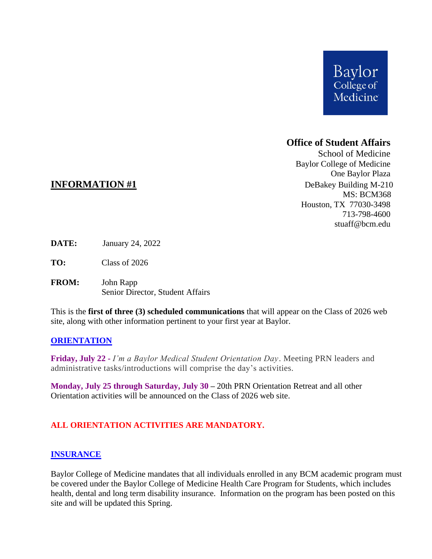

# **Office of Student Affairs**

School of Medicine Baylor College of Medicine One Baylor Plaza **INFORMATION** #1 DeBakey Building M-210 MS: BCM368 Houston, TX 77030-3498 713-798-4600 stuaff@bcm.edu

- **DATE:** January 24, 2022
- **TO:** Class of 2026
- **FROM:** John Rapp Senior Director, Student Affairs

This is the **first of three (3) scheduled communications** that will appear on the Class of 2026 web site, along with other information pertinent to your first year at Baylor.

#### **ORIENTATION**

**Friday, July 22 -** *I'm a Baylor Medical Student Orientation Day*. Meeting PRN leaders and administrative tasks/introductions will comprise the day's activities.

**Monday, July 25 through Saturday, July 30 –** 20th PRN Orientation Retreat and all other Orientation activities will be announced on the Class of 2026 web site.

## **ALL ORIENTATION ACTIVITIES ARE MANDATORY.**

#### **INSURANCE**

Baylor College of Medicine mandates that all individuals enrolled in any BCM academic program must be covered under the Baylor College of Medicine Health Care Program for Students, which includes health, dental and long term disability insurance. Information on the program has been posted on this site and will be updated this Spring.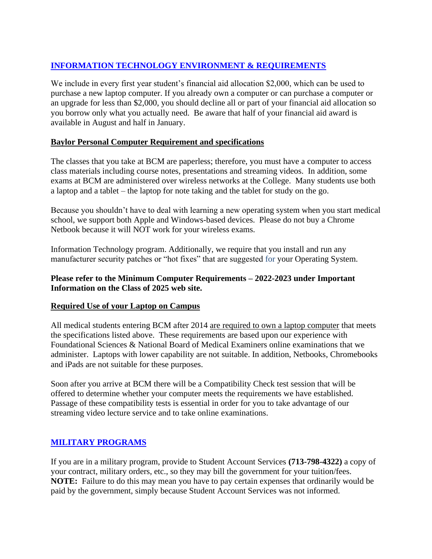# **INFORMATION TECHNOLOGY ENVIRONMENT & REQUIREMENTS**

We include in every first year student's financial aid allocation \$2,000, which can be used to purchase a new laptop computer. If you already own a computer or can purchase a computer or an upgrade for less than \$2,000, you should decline all or part of your financial aid allocation so you borrow only what you actually need. Be aware that half of your financial aid award is available in August and half in January.

## **Baylor Personal Computer Requirement and specifications**

The classes that you take at BCM are paperless; therefore, you must have a computer to access class materials including course notes, presentations and streaming videos. In addition, some exams at BCM are administered over wireless networks at the College. Many students use both a laptop and a tablet – the laptop for note taking and the tablet for study on the go.

Because you shouldn't have to deal with learning a new operating system when you start medical school, we support both Apple and Windows-based devices. Please do not buy a Chrome Netbook because it will NOT work for your wireless exams.

Information Technology program. Additionally, we require that you install and run any manufacturer security patches or "hot fixes" that are suggested for your Operating System.

## **Please refer to the Minimum Computer Requirements – 2022-2023 under Important Information on the Class of 2025 web site.**

## **Required Use of your Laptop on Campus**

All medical students entering BCM after 2014 are required to own a laptop computer that meets the specifications listed above. These requirements are based upon our experience with Foundational Sciences & National Board of Medical Examiners online examinations that we administer. Laptops with lower capability are not suitable. In addition, Netbooks, Chromebooks and iPads are not suitable for these purposes.

Soon after you arrive at BCM there will be a Compatibility Check test session that will be offered to determine whether your computer meets the requirements we have established. Passage of these compatibility tests is essential in order for you to take advantage of our streaming video lecture service and to take online examinations.

## **MILITARY PROGRAMS**

If you are in a military program, provide to Student Account Services **(713-798-4322)** a copy of your contract, military orders, etc., so they may bill the government for your tuition/fees. **NOTE:** Failure to do this may mean you have to pay certain expenses that ordinarily would be paid by the government, simply because Student Account Services was not informed.